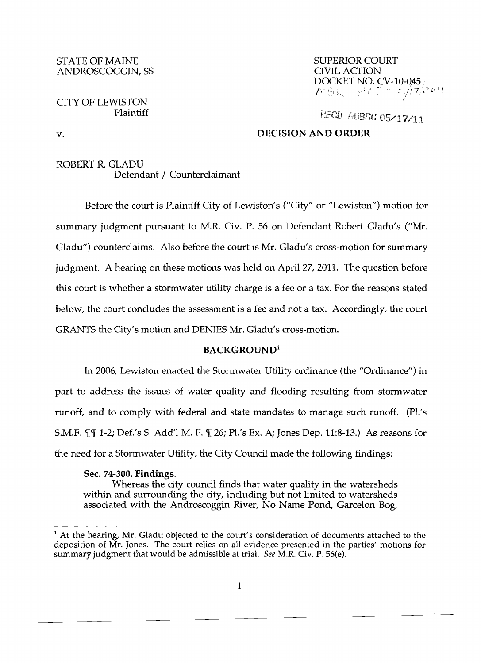#### STATE OF MAINE SUPERIOR COURT ANDROSCOGGIN, SS

# CITY OF LEWISTON Plaintiff

DOCKET NO. CV-10-Q45 • *f / f*  $\mathbb{R}$   $\mathbb{R}$   $\rightarrow$   $\mathbb{R}$   $\mathbb{R}$   $\mathbb{R}$   $\mathbb{R}$ ſ.

RECD AUBSC 05/17/11

# v. **DECISION AND ORDER**

## ROBERT R. GLADU Defendant / Counterclaimant

Before the court is Plaintiff City of Lewiston's ("City" or "Lewiston") motion for summary judgment pursuant to M.R. Civ. P. 56 on Defendant Robert Gladu's ("Mr. Gladu") counterclaims. Also before the court is Mr. Gladu's cross-motion for summary judgment. A hearing on these motions was held on April 27, 2011. The question before this court is whether a stormwater utility charge is a fee or a tax. For the reasons stated below, the court concludes the assessment is a fee and not a tax. Accordingly, the court GRANTS the City's motion and DENIES Mr. Gladu's cross-motion.

# **BACKGROUND<sup>1</sup>**

In 2006, Lewiston enacted the Stormwater Utility ordinance (the "Ordinance") in part to address the issues of water quality and flooding resulting from stormwater runoff, and to comply with federal and state mandates to manage such runoff. (Pl.'s S.M.F.  $\P$  $\P$  1-2; Def.'s S. Add'l M. F.  $\P$  26; Pl.'s Ex. A; Jones Dep. 11:8-13.) As reasons for the need for a Stormwater Utility, the City Council made the following findings:

### Sec. **74-300. Findings.**

Whereas the city council finds that water quality in the watersheds within and surrounding the city, including but not limited to watersheds associated with the Androscoggin River, No Name Pond, Garcelon Bog,

<sup>&</sup>lt;sup>1</sup> At the hearing, Mr. Gladu objected to the court's consideration of documents attached to the deposition of Mr. Jones. The court relies on all evidence presented in the parties' motions for summary judgment that would be admissible at trial. See M.R. Civ. P. 56(e).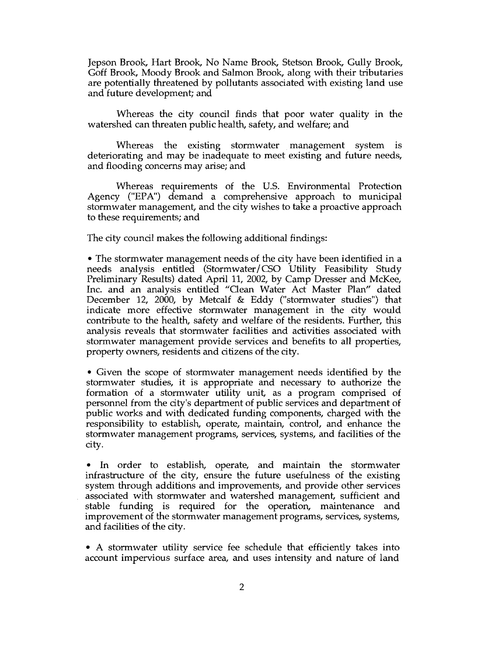Jepson Brook, Hart Brook, No Name Brook, Stetson Brook, Gully Brook, Goff Brook, Moody Brook and Salmon Brook, along with their tributaries are potentially threatened by pollutants associated with existing land use and future development; and

Whereas the city council finds that poor water quality in the watershed can threaten public health, safety, and welfare; and

Whereas the existing stormwater management system is deteriorating and may be inadequate to meet existing and future needs, and flooding concerns may arise; and

Whereas requirements of the U.S. Environmental Protection Agency ("EPA") demand a comprehensive approach to municipal stormwater management, and the city wishes to take a proactive approach to these requirements; and

The city council makes the following additional findings:

• The stormwater management needs of the city have been identified in a needs analysis entitled (Stormwater/CSO Utility Feasibility Study Preliminary Results) dated April 11, 2002, by Camp Dresser and McKee, Inc. and an analysis entitled "Oean Water Act Master Plan" dated December 12, 2000, by Metcalf & Eddy ("stormwater studies") that indicate more effective stormwater management in the city would contribute to the health, safety and welfare of the residents. Further, this analysis reveals that stormwater facilities and activities associated with stormwater management provide services and benefits to all properties, property owners, residents and citizens of the city.

• Given the scope of stormwater management needs identified by the stormwater studies, it is appropriate and necessary to authorize the formation of a stormwater utility unit, as a program comprised of personnel from the city's department of public services and department of public works and with dedicated funding components, charged with the responsibility to establish, operate, maintain, control, and enhance the stormwater management programs, services, systems, and facilities of the city.

• In order to establish, operate, and maintain the stormwater infrastructure of the city, ensure the future usefulness of the existing system through additions and improvements, and provide other services associated with stormwater and watershed management, sufficient and stable funding is required for the operation, maintenance and improvement of the stormwater management programs, services, systems, and facilities of the city.

• A stormwater utility service fee schedule that efficiently takes into account impervious surface area, and uses intensity and nature of land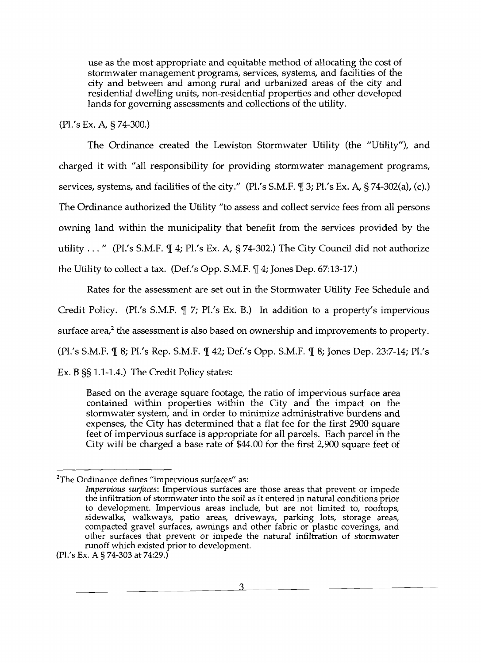use as the most appropriate and equitable method of allocating the cost of stormwater management programs, services, systems, and facilities of the city and between and among rural and urbanized areas of the city and residential dwelling units, non-residential properties and other developed lands for governing assessments and collections of the utility.

(Pl.'s Ex. A, § 74-300.)

The Ordinance created the Lewiston Stormwater Utility (the "Utility"), and charged it with "all responsibility for providing storrnwater management programs, services, systems, and facilities of the city." (Pl.'s S.M.F.  $\P$  3; Pl.'s Ex. A, § 74-302(a), (c).) The Ordinance authorized the Utility "to assess and collect service fees from all persons owning land within the municipality that benefit from the services provided by the utility ..." (Pl.'s S.M.F.  $\mathbb{I}$  4; Pl.'s Ex. A, § 74-302.) The City Council did not authorize the Utility to collect a tax. (Def.'s Opp. S.M.F.  $\P$  4; Jones Dep. 67:13-17.)

Rates for the assessment are set out in the Stormwater Utility Fee Schedule and Credit Policy. (Pl.'s S.M.F.  $\mathbb{I}$  7; Pl.'s Ex. B.) In addition to a property's impervious surface area, $^2$  the assessment is also based on ownership and improvements to property. (Pl.'s S.M.F.  $\parallel$  8; Pl.'s Rep. S.M.F.  $\parallel$  42; Def.'s Opp. S.M.F.  $\parallel$  8; Jones Dep. 23:7-14; Pl.'s Ex. B §§ 1.1-1.4.) The Credit Policy states:

Based on the average square footage, the ratio of impervious surface area contained within properties within the City and the impact on the storrnwater system, and in order to minimize administrative burdens and expenses, the City has determined that a flat fee for the first 2900 square feet of impervious surface is appropriate for all parcels. Each parcel in the City will be charged a base rate of \$44.00 for the first 2,900 square feet of

3

 $2$ The Ordinance defines "impervious surfaces" as:

*Impervious surfaces:* Impervious surfaces are those areas that prevent or impede the infiltration of stormwater into the soil as it entered in natural conditions prior to development. Impervious areas include, but are not limited to, rooftops, sidewalks, walkways, patio areas, driveways, parking lots, storage areas, compacted gravel surfaces, aWnings and other fabric or plastic coverings, and other surfaces that prevent or impede the natural infiltration of stormwater runoff which existed prior to development.

<sup>(</sup>Pl.'s Ex. A § 74-303 at 74:29.)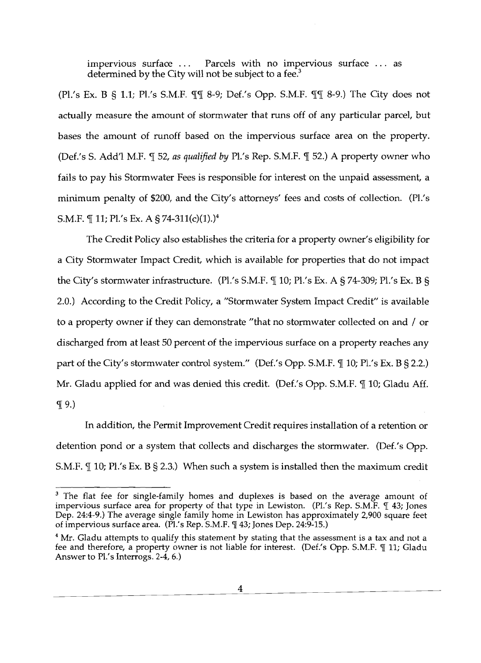impervious surface ... Parcels with no impervious surface ... as determined by the City will not be subject to a fee. $3$ 

(Pl.'s Ex. B § 1.1; Pl.'s S.M.F.  $\P\P$  8-9; Def.'s Opp. S.M.F.  $\P$  $\P$  8-9.) The City does not actually measure the amount of stormwater that runs off of any particular parcel, but bases the amount of runoff based on the impervious surface area on the property. (Def.'s S. Add'l M.F.  $\P$  52, as qualified by Pl.'s Rep. S.M.F.  $\P$  52.) A property owner who fails to pay his Stormwater Fees is responsible for interest on the unpaid assessment, a minimum penalty of \$200, and the City's attorneys' fees and costs of collection. (Pl.'s S.M.F.  $\mathcal{F}$  11; Pl.'s Ex. A § 74-311(c)(1).)<sup>4</sup>

The Credit Policy also establishes the criteria for a property owner's eligibility for a City Stormwater Impact Credit, which is available for properties that do not impact the City's stormwater infrastructure. (Pl.'s S.M.F.  $\parallel$  10; Pl.'s Ex. A § 74-309; Pl.'s Ex. B § 2.0.) According to the Credit Policy, a "Stormwater System Impact Credit" is available to a property owner if they can demonstrate "that no stormwater collected on and / or discharged from at least 50 percent of the impervious surface on a property reaches any part of the City's stormwater control system." (Def.'s Opp. S.M.F.  $\P$  10; Pl.'s Ex. B § 2.2.) Mr. Gladu applied for and was denied this credit. (Def.'s Opp. S.M.F.  $\mathbb I$  10; Gladu Aff.  $\P$  9.)

In addition, the Permit Improvement Credit requires installation of a retention or detention pond or a system that collects and discharges the stormwater. (Def.'s Opp. S.M.F.  $\text{\$\s}$  10; Pl.'s Ex. B § 2.3.) When such a system is installed then the maximum credit

4  $\overline{\phantom{a}}$ 

<sup>&</sup>lt;sup>3</sup> The flat fee for single-family homes and duplexes is based on the average amount of impervious surface area for property of that type in Lewiston. (Pl.'s Rep. S.M.F. 1 43; Jones Dep. 24:4-9.) The average single family home in Lewiston has approximately 2,900 square feet of impervious surface area. (Pl.'s Rep. S.M.F.  $\mathbb{I}$  43; Jones Dep. 24:9-15.)

<sup>&</sup>lt;sup>4</sup> Mr. Gladu attempts to qualify this statement by stating that the assessment is a tax and not a fee and therefore, a property owner is not liable for interest. (Def.'s Opp. S.M.F. ¶ 11; Gladu Answer to Pl.'s Interrogs. 2-4, 6.)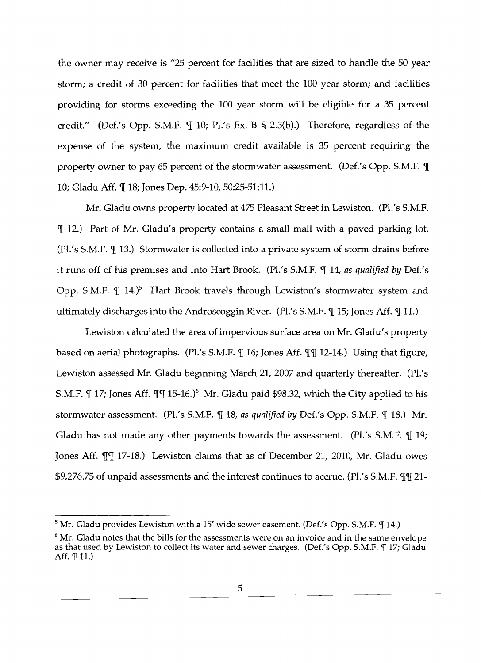the owner may receive is "25 percent for facilities that are sized to handle the 50 year storm; a credit of 30 percent for facilities that meet the 100 year storm; and facilities providing for storms exceeding the 100 year storm will be eligible for a 35 percent credit." (Def.'s Opp. S.M.F.  $\P$  10; Pl.'s Ex. B § 2.3(b).) Therefore, regardless of the expense of the system, the maximum credit available is 35 percent requiring the property owner to pay 65 percent of the stormwater assessment. (Def.'s Opp. S.M.F.  $\P$ 10; Gladu Aff. ¶ 18; Jones Dep. 45:9-10, 50:25-51:11.)

Mr. Gladu owns property located at 475 Pleasant Street in Lewiston. (Pl.'s S.M.F.  $\P$  12.) Part of Mr. Gladu's property contains a small mall with a paved parking lot.  $(PI.'s S.M.F. \P 13.)$  Stormwater is collected into a private system of storm drains before it runs off of his premises and into Hart Brook. (Pl.'s S.M.F. 114, as qualified by Def.'s Opp. S.M.F.  $\P$  14.)<sup>5</sup> Hart Brook travels through Lewiston's stormwater system and ultimately discharges into the Androscoggin River. (Pl.'s S.M.F.  $\P$  15; Jones Aff.  $\P$  11.)

Lewiston calculated the area of impervious surface area on Mr. Gladu's property based on aerial photographs. (Pl.'s S.M.F.  $\mathbb{I}$  16; Jones Aff.  $\mathbb{I}$  12-14.) Using that figure, Lewiston assessed Mr. Gladu beginning March 21, 2007 and quarterly thereafter. (Pl.'s S.M.F.  $\P$  17; Jones Aff.  $\P$  $\P$  15-16.)<sup>6</sup> Mr. Gladu paid \$98.32, which the City applied to his stormwater assessment. (Pl.'s S.M.F.  $\P$  18, *as qualified by Def.'s Opp. S.M.F.*  $\P$  18.) Mr. Gladu has not made any other payments towards the assessment. (Pl.'s S.M.F.  $\P$  19; Jones Aff.  $\P\P$  17-18.) Lewiston claims that as of December 21, 2010, Mr. Gladu owes \$9,276.75 of unpaid assessments and the interest continues to accrue. (Pl.'s S.M.F.  $\P\P$  21-

 $5$  Mr. Gladu provides Lewiston with a 15' wide sewer easement. (Def.'s Opp. S.M.F.  $\mathbb T$  14.)

 $6$  Mr. Gladu notes that the bills for the assessments were on an invoice and in the same envelope as that used by Lewiston to collect its water and sewer charges. *(Def.'s Opp. S.M.F.* T 17; Gladu Aff.  $\P$  11.)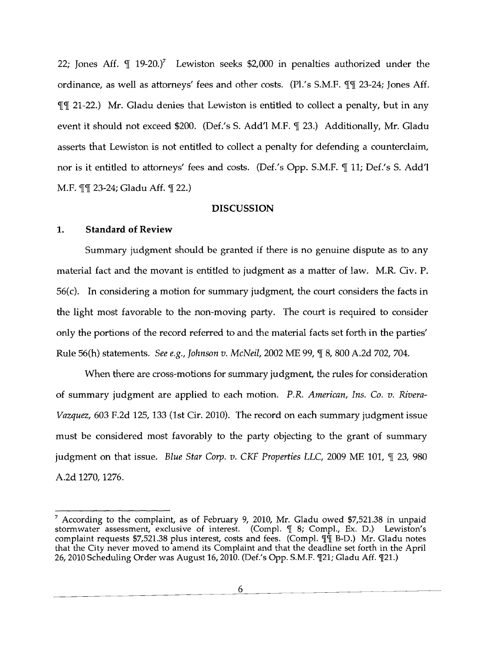22; Jones Aff. ¶ 19-20.)<sup>7</sup> Lewiston seeks \$2,000 in penalties authorized under the ordinance, as well as attorneys' fees and other costs. (Pl.'s S.M.F.  $\P\P$  23-24; Jones Aff.  $\P\P$  21-22.) Mr. Gladu denies that Lewiston is entitled to collect a penalty, but in any event it should not exceed \$200. (Def.'s S. Add'l M.F. ¶ 23.) Additionally, Mr. Gladu asserts that Lewiston is not entitled to collect a penalty for defending a counterclaim, nor is it entitled to attorneys' fees and costs. (Def.'s Opp. S.M.F. ¶ 11; Def.'s S. Add'l M.F.  $\P$  23-24; Gladu Aff.  $\P$  22.)

### **DISCUSSION**

### **1. Standard of Review**

Summary judgment should be granted if there is no genuine dispute as to any material fact and the movant is entitled to judgment as a matter of law. M.R. Civ. P. 56(c). In considering a motion for summary judgment, the court considers the facts in the light most favorable to the non-moving party. The court is required to consider only the portions of the record referred to and the material facts set forth in the parties' Rule 56(h) statements. *See e.g., Johnson v. McNeil,* 2002 ME 99, ¶ 8, 800 A.2d 702, 704.

When there are cross-motions for summary judgment, the rules for consideration of summary judgment are applied to each motion. *P.R. American, Ins. Co. v. Rivera-Vazquez,* 603 F.2d 125, 133 (1st Cir. 2010). The record on each summary judgment issue must be considered most favorably to the party objecting to the grant of summary judgment on that issue. *Blue Star Corp. v. CKF Properties LLC*, 2009 ME 101,  $\P$  23, 980 A.2d 1270, 1276.

6

 $^7$  According to the complaint, as of February 9, 2010, Mr. Gladu owed \$7,521.38 in unpaid stormwater assessment, exclusive of interest. (Compl. ¶ 8; Compl., Ex. D.) Lewiston's complaint requests \$7,521.38 plus interest, costs and fees. (Compl.  $\P$ q B-D.) Mr. Gladu notes that the City never moved to amend its Complaint and that the deadline set forth in the April 26, 2010 Scheduling Order was August 16, 2010. (Def.'s Opp. S.M.F. [21; Gladu Aff. [21.)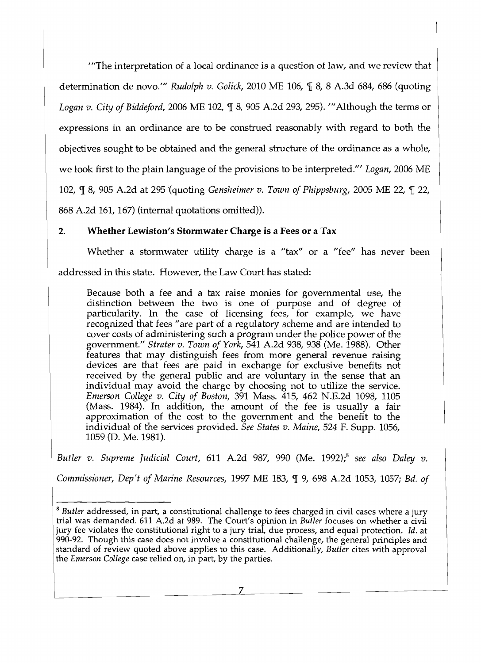*"'The* interpretation of a local ordinance is a question of law, and we review that determination de novo.'" *Rudolph v. Golick*, 2010 ME 106, ¶ 8, 8 A.3d 684, 686 (quoting *Logan v. City of Biddeford,* 2006 ME 102,  $\mathbb{I}$  8, 905 A.2d 293, 295). '"Although the terms or expressions in an ordinance are to be construed reasonably with regard to both the objectives sought to be obtained and the general structure of the ordinance as a whole, we look first to the plain language of the provisions to be interpreted.'" *Logan,* 2006 ME 102,  $\mathbb{q}$  8, 905 A.2d at 295 (quoting *Gensheimer v. Town of Phippsburg*, 2005 ME 22,  $\mathbb{q}$  22, 868 A.2d 161, 167) (internal quotations omitted)).

# 2. Whether Lewiston's Stormwater Charge is a Fees or a Tax

Whether a stormwater utility charge is a "tax" or a "fee" has never been addressed in this state. However, the Law Court has stated:

Because both a fee and a tax raise monies for governmental use, the distinction between the two is one of purpose and of degree of particularity. In the case of licensing fees, for example, we have recognized that fees" are part of a regulatory scheme and are intended to cover costs of administering such a program under the police power of the government." *Strater v. Town of York,* 541 A.2d 938, 938 (Me. 1988). Other features that may distinguish fees from more general revenue raising devices are that fees are paid in exchange for exclusive benefits not received by the general public and are voluntary in the sense that an individual may avoid the charge by choosing not to utilize the service. *Emerson College v. City of Boston,* 391 Mass. 415, 462 N.E.2d 1098, 1105 (Mass. 1984). In addition, the amount of the fee is usually a fair approximation of the cost to the government and the benefit to the individual of the services provided. *See States v. Maine,* 524 F. Supp. 1056, 1059 (D. Me. 1981).

*Butler v. Supreme Judicial Court, 611 A.2d 987, 990 (Me. 1992)*,<sup>8</sup> see also Daley v.

*Commissioner, Dep't of Marine Resources, 1997 ME 183, ¶ 9, 698 A.2d 1053, 1057; Bd. of* 

7  $\overline{a}$ 

*<sup>8</sup> Butler* addressed, in part, a constitutional challenge to fees charged in civil cases where a jury trial was demanded. 611 A.2d at 989. The Court's opinion in *Butler* focuses on whether a civil jury fee violates the constitutional right to a jury trial, due process, and equal protection. Id. at 990-92. Though this case does not involve a constitutional challenge, the general principles and standard of review quoted above applies to this case. Additionally, *Butler* cites with approval the *Emerson College* case relied on, in part, by the parties.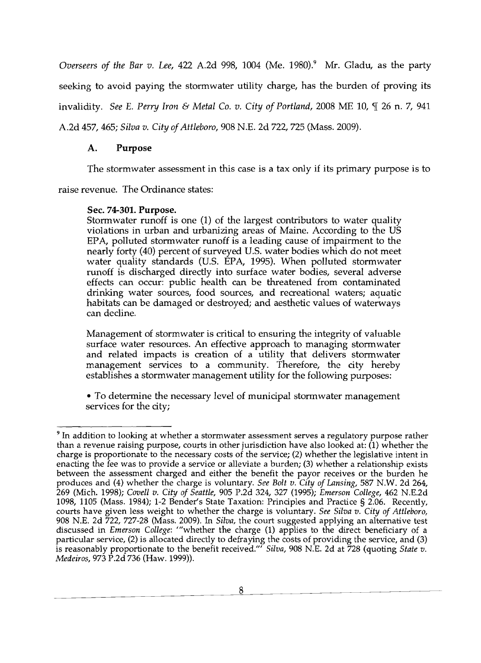*Overseers of the Bar v. Lee,* 422 A.2d 998, 1004 (Me. 1980).<sup>9</sup> Mr. Gladu, as the party seeking to avoid paying the stormwater utility charge, has the burden of proving its invalidity. *See E. Perry Iron & Metal Co. v. City of Portland,* 2008 ME 10,  $\mathcal{F}$  26 n. 7, 941 A.2d 457,465; *Silva v. City of Attleboro,* 908 N.E. 2d 722, 725 (Mass. 2009).

# A. Purpose

The stormwater assessment in this case is a tax only if its primary purpose is to

raise revenue. The Ordinance states:

# Sec. 74-301. Purpose.

Storrnwater runoff is one (1) of the largest contributors to water quality violations in urban and urbanizing areas of Maine. According to the US EPA, polluted storrnwater runoff is a leading cause of impairment to the nearly forty (40) percent of surveyed U.S. water bodies which do not meet water quality standards (U.S. EPA, 1995). When polluted storrnwater runoff is discharged directly into surface water bodies, several adverse effects can occur: public health can be threatened from contaminated drinking water sources, food sources, and recreational waters; aquatic habitats can be damaged or destroyed; and aesthetic values of waterways can decline.

Management of stormwater is critical to ensuring the integrity of valuable surface water resources. An effective approach to managing stormwater and related impacts is creation of a utility that delivers stormwater management services to a community. Therefore, the city hereby establishes a stormwater management utility for the following purposes:

• To determine the necessary level of municipal stormwater management services for the city;

<sup>&</sup>lt;sup>9</sup> In addition to looking at whether a stormwater assessment serves a regulatory purpose rather than a revenue raising purpose, courts in other jurisdiction have also looked at: (1) whether the charge is proportionate to the necessary costs of the service; (2) whether the legislative intent in enacting the fee was to provide a service or alleviate a burden; (3) whether a relationship exists between the assessment charged and either the benefit the payor receives or the burden he produces and (4) whether the charge is voluntary. *See Bolt v. City of Lansing,* 587 N.W. 2d 264, 269 (Mich. 1998); *Covell v. City of Seattle,* 905 P.2d 324, 327 (1995); *Emerson College,* 462 N.E.2d 1098, 1105 (Mass. 1984); 1-2 Bender's State Taxation: Principles and Practice § 2.06. Recently, courts have given less weight to whether the charge is voluntary. *See Silva v. City of Attleboro,*  908 N.E. 2d 722, 727-28 (Mass. 2009). In *Silva,* the court suggested applying an alternative test discussed in *Emerson College:* '''whether the charge (1) applies to the direct beneficiary of a particular service, (2) is allocated directly to defraying the costs of providing the service, and (3) is reasonably proportionate to the benefit received.'" *Silva,* 908 N.E. 2d at 728 (quoting *State v. Medeiros, 973 P.2d 736 (Haw. 1999)).*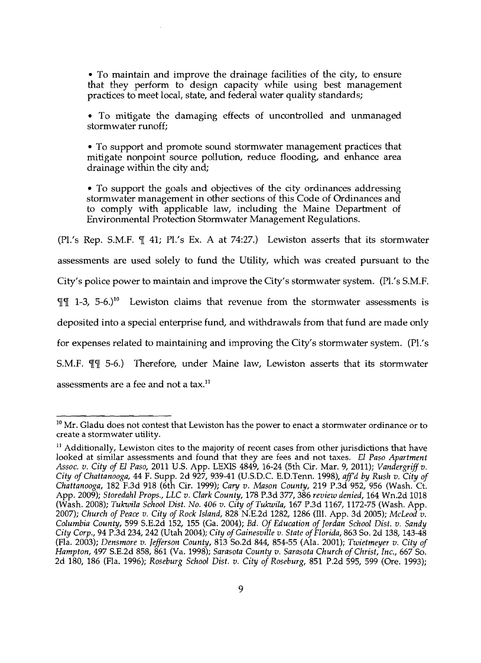• To maintain and improve the drainage facilities of the city, to ensure that they perform to design capacity while using best management practices to meet local, state, and federal water quality standards;

• To mitigate the damaging effects of uncontrolled and unmanaged stormwater runoff;

• To support and promote sound stormwater management practices that mitigate nonpoint source pollution, reduce flooding, and enhance area drainage within the city and;

• To support the goals and objectives of the city ordinances addressing stormwater management in other sections of this Code of Ordinances and to comply with applicable law, including the Maine Department of Environmental Protection Stormwater Management Regulations.

(Pl.'s Rep. S.M.F.  $\P$  41; Pl.'s Ex. A at 74:27.) Lewiston asserts that its stormwater assessments are used solely to fund the Utility, which was created pursuant to the City's police power to maintain and improve the City's stormwater system. (Pl.'s S.M.F.  $\P\P$  1-3, 5-6.)<sup>10</sup> Lewiston claims that revenue from the stormwater assessments is deposited into a special enterprise fund, and withdrawals from that fund are made only for expenses related to maintaining and improving the City's stormwater system. (Pl.'s S.M.F.  $\P\P$  5-6.) Therefore, under Maine law, Lewiston asserts that its stormwater assessments are a fee and not a tax. $^{11}$ 

 $10$  Mr. Gladu does not contest that Lewiston has the power to enact a stormwater ordinance or to create a stormwater utility.

 $11$  Additionally, Lewiston cites to the majority of recent cases from other jurisdictions that have looked at similar assessments and found that they are fees and not taxes. *£1 Paso Apartment Assoc. v. City of £1 Paso,* 2011 U.s. App. LEXIS 4849, 16-24 (5th Cir. Mar. 9, 2011); *Vandergriff v. City of Chattanooga,* 44 F. Supp. 2d 927, 939-41 (U.SD.C. E.D.Tenn. 1998), *aff'd by Rush v. City of Chattanooga,* 182 F.3d 918 (6th Cir. 1999); *Cary v. Mason County,* 219 P.3d 952, 956 (Wash. Ct. App. 2009); *Storedahl Props., LLC v. Clark County,* 178 P.3d 377, 386 *review denied,* 164 Wn.2d 1018 (Wash. 2008); *Tukwila School Dist. No. 406 v. City of Tukwila,* 167 P.3d 1167, 1172-75 (Wash. App. *2007); Church of Peace v. City of Rock Island,* 828 N.E.2d 1282, 1286 (ill. App. 3d 2005); *McLeod v. Columbia County,* 599 S.E.2d 152, 155 (Ga. 2004); *Ed. Of Education of Jordan School Dist. v. Sandy*  City Corp., 94 P.3d 234, 242 (Utah 2004); *City of Gainesville v. State of Florida*, 863 So. 2d 138, 143-48 (Fla. 2003); *Densmore v. Jefferson County,* 813 So.2d 844, 854-55 (Ala. 2001); *Twietmeyer v. City of Hampton,* 497 S.E.2d 858, 861 (Va. 1998); *Sarasota County v. Sarasota Church of Christ, Inc.,* 667 So. 2d 180, 186 (Fla. 1996); *Roseburg School Dist. v. City of Roseburg,* 851 P.2d 595, 599 (Ore. 1993);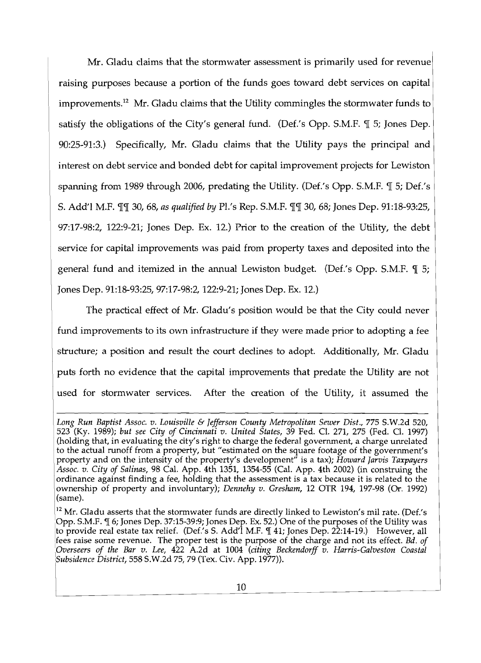Mr. Gladu claims that the stormwater assessment is primarily used for revenue raising purposes because a portion of the funds goes toward debt services on capital improvements.<sup>12</sup> Mr. Gladu claims that the Utility commingles the stormwater funds to satisfy the obligations of the City's general fund. (Def.'s Opp. S.M.F.  $\P$  5; Jones Dep. 90:25-91:3.) Specifically, Mr. Gladu claims that the Utility pays the principal and interest on debt service and bonded debt for capital improvement projects for Lewiston spanning from 1989 through 2006, predating the Utility. (Def.'s Opp. S.M.F.  $\mathbb{I}$  5; Def.'s S. Add'l M.F.  $\P$  30, 68, *as qualified by Pl.'s Rep. S.M.F.*  $\P$   $\P$  30, 68; Jones Dep. 91:18-93:25, 97:17-98:2, 122:9-21; Jones Dep. Ex. 12.) Prior to the creation of the Utility, the debt service for capital improvements was paid from property taxes and deposited into the general fund and itemized in the annual Lewiston budget. (Def.'s Opp. S.M.F.  $\P$  5; Jones Dep. 91:18-93:25, 97:17-98:2, 122:9-21; Jones Dep. Ex. 12.)

The practical effect of Mr. Gladu's position would be that the City could never fund improvements to its own infrastructure if they were made prior to adopting a fee structure; a position and result the court declines to adopt. Additionally, Mr. Gladu puts forth no evidence that the capital improvements that predate the Utility are not used for stormwater services. After the creation of the Utility, it assumed the

*Long Run Baptist Assoc. v. Louisville* & *Jefferson County Metropolitan Sewer Dist.,* 775 S.W.2d 520, 523 (Ky. 1989); *but see City of Cincinnati v. United States,* 39 Fed. Cl. 271, 275 (Fed. Cl. 1997) (holding that, in evaluating the city's right to charge the federal government, a charge unrelated to the actual runoff from a property, but "estimated on the square footage of the government's property and on the intensity of the property's development" is a tax); *Howard Jarvis Taxpayers Assoc. v. City of Salinas,* 98 Cal. App. 4th 1351, 1354-55 (Cal. App. 4th 2002) (in construing the ordinance against finding a fee, holding that the assessment is a tax because it is related to the ownership of property and involuntary); *Dennehy v. Gresham,* 12 OTR 194, 197-98 (Or. 1992) (same).

<sup>&</sup>lt;sup>12</sup> Mr. Gladu asserts that the stormwater funds are directly linked to Lewiston's mil rate. (Def.'s Opp. S.M.F.  $\P$  6; Jones Dep. 37:15-39:9; Jones Dep. Ex. 52.) One of the purposes of the Utility was to provide real estate tax relief. (Def.'s S. Add'l M.F.  $\P$  41; Jones Dep. 22:14-19.) However, all fees raise some revenue. The proper test is the purpose of the charge and not its effect. *Bd. of :Overseers of the Bar v. Lee,* 422 A.2d at 1004 *(citing Beckendorff v. Harris-Galveston Coastal !Subsidence District,* 558 S.W.2d 75,79 (Tex. Civ. App.1977».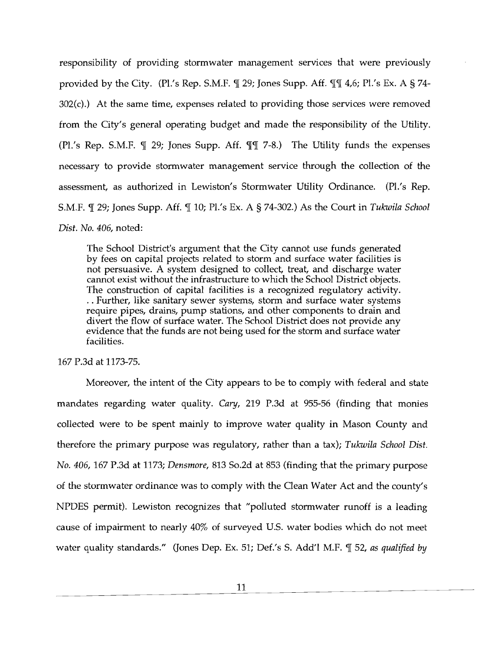responsibility of providing stormwater management services that were previously provided by the City. (Pl.'s Rep. S.M.F.  $\P$  29; Jones Supp. Aff.  $\P$  $\P$  4,6; Pl.'s Ex. A § 74- $302(c)$ .) At the same time, expenses related to providing those services were removed from the City's general operating budget and made the responsibility of the Utility. (Pl.'s Rep. S.M.F.  $\P$  29; Jones Supp. Aff.  $\P$  $\P$  7-8.) The Utility funds the expenses necessary to provide stormwater management service through the collection of the assessment, as authorized in Lewiston's Stormwater Utility Ordinance. (Pl.'s Rep. S.M.F.  $\P$  29; Jones Supp. Aff.  $\P$  10; Pl.'s Ex. A § 74-302.) As the Court in *Tukwila School Dist. No. 406,* noted:

The School District's argument that the City cannot use funds generated by fees on capital projects related to storm and surface water facilities is not persuasive. A system designed to collect, treat, and discharge water cannot exist without the infrastructure to which the School District objects. The construction of capital facilities is a recognized regulatory activity. . . Further, like sanitary sewer systems, storm and surface water systems require pipes, drains, pump stations, and other components to drain and divert the flow of surface water. The School District does not provide any evidence that the funds are not being used for the storm and surface water facilities.

167 P.3d at 1173-75.

Moreover, the intent of the City appears to be to comply with federal and state mandates regarding water quality. *Cary,* 219 P.3d at 955-56 (finding that monies collected were to be spent mainly to improve water quality in Mason County and therefore the primary purpose was regulatory, rather than a tax); *Tukwila School Dist. No. 406,* 167 P.3d at 1173; *Densmore,* 813 So.2d at 853 (finding that the primary purpose of the stormwater ordinance was to comply with the Oean Water Act and the county's NPDES permit). Lewiston recognizes that "polluted stormwater runoff is a leading cause of impairment to nearly 40% of surveyed U.S. water bodies which do not meet water quality standards." (Jones Dep. Ex. 51; Def.'s S. Add'l M.F. ¶ 52, as qualified by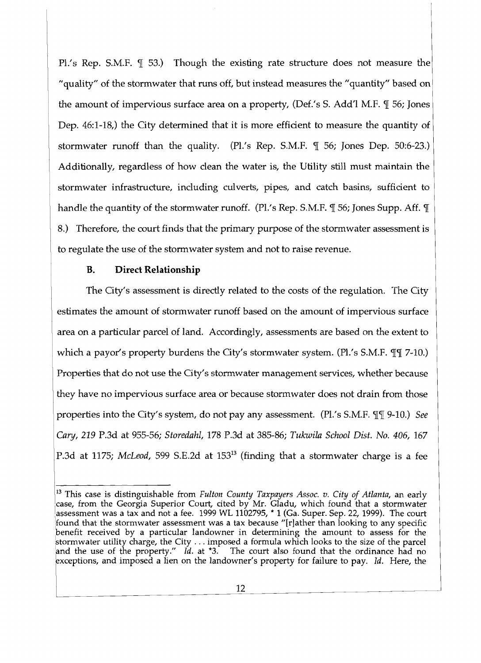Pl.'s Rep. S.M.F.  $\parallel$  53.) Though the existing rate structure does not measure the "quality" of the stormwater that runs off, but instead measures the "quantity" based on the amount of impervious surface area on a property, (Def.'s S. Add'l M.F.  $\P$  56; Jones Dep. 46:1-18,) the City determined that it is more efficient to measure the quantity of stormwater runoff than the quality. (Pl.'s Rep. S.M.F.  $\parallel$  56; Jones Dep. 50:6-23.) Additionally, regardless of how clean the water is, the Utility still must maintain the stormwater infrastructure, including culverts, pipes, and catch basins, sufficient to handle the quantity of the stormwater runoff. (Pl.'s Rep. S.M.F.  $\mathcal{J}$  56; Jones Supp. Aff.  $\mathcal{J}$ 8.) Therefore, the court finds that the primary purpose of the stormwater assessment is to regulate the use of the stormwater system and not to raise revenue.

# **B. Direct Relationship**

The City's assessment is directly related to the costs of the regulation. The City estimates the amount of stormwater runoff based on the amount of impervious surface area on a particular parcel of land. Accordingly, assessments are based on the extent to which a payor's property burdens the City's stormwater system. (Pl.'s S.M.F. III 7-10.) Properties that do not use the City's stormwater management services, whether because they have no impervious surface area or because stormwater does not drain from those properties into the City's system, do not pay any assessment. (Pl.'s S.M.F.  $\P\P$  9-10.) *See Cary,* 219 P.3d at 955-56; *Storedahl,* 178 P.3d at 385-86; *Tukwila School Dist. No. 406, 167*  P.3d at 1175; *McLeod*, 599 S.E.2d at 153<sup>13</sup> (finding that a stormwater charge is a fee

<sup>13</sup> This case is distinguishable from *Fulton County Taxpayers Assoc. v. City of Atlanta,* an early case, from the Georgia Superior Court, cited by Mr. Gladu, which found that a stormwater assessment was a tax and not a fee.  $1999$  WL  $1102795$ ,  $^{\star}$  1 (Ga. Super. Sep. 22, 1999). The court !found that the stormwater assessment was a tax because *"[r]ather* than looking to any specific benefit received by a particular landowner in determining the amount to assess for the stormwater utility charge, the City  $\dots$  imposed a formula which looks to the size of the parcel and the use of the *property." Id.* at \*3. The court also found that the ordinance had no bxceptions, and imposed a lien on the landowner's property for failure to pay. *Id.* Here, the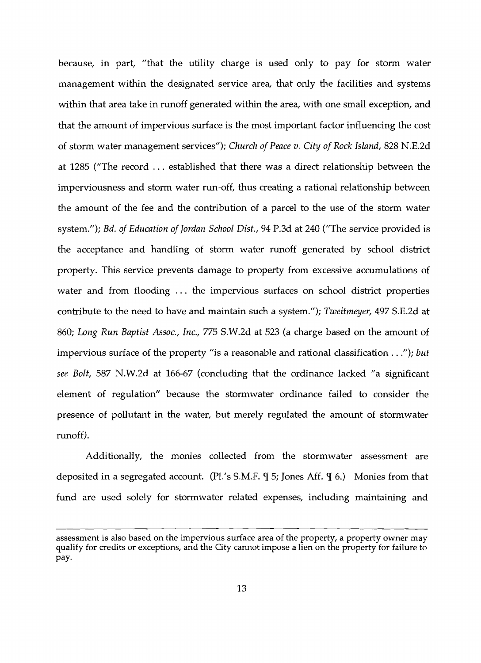because, in part, "that the utility charge is used only to pay for storm water management within the designated service area, that only the facilities and systems within that area take in runoff generated within the area, with one small exception, and that the amount of impervious surface is the most important factor influencing the cost of storm water management services"); *Church of Peace v. City of Rock Island*, 828 N.E.2d at 1285 ("The record ... established that there was a direct relationship between the imperviousness and storm water run-off, thus creating a rational relationship between the amount of the fee and the contribution of a parcel to the use of the storm water system."); *Bd. of Education of Jordan School Dist.,* 94 P.3d at 240 ("The service provided is the acceptance and handling of storm water runoff generated by school district property. This service prevents damage to property from excessive accumulations of water and from flooding ... the impervious surfaces on school district properties contribute to the need to have and maintain such a system."); *Tweitmeyer,* 497 S.E.2d at 860; *Long Run Baptist Assoc., Inc.,* 775 S.W.2d at 523 (a charge based on the amount of impervious surface of the property "is a reasonable and rational classification ..."); *but see Bolt,* 587 N.W.2d at 166-67 (concluding that the ordinance lacked *"a* significant element of regulation" because the stormwater ordinance failed to consider the presence of pollutant in the water, but merely regulated the amount of stormwater runoff).

Additionally, the monies collected from the stormwater assessment are deposited in a segregated account. (Pl.'s S.M.F.  $\mathcal{F}$  5; Jones Aff.  $\mathcal{T}$  6.) Monies from that fund are used solely for stormwater related expenses, including maintaining and

assessment is also based on the impervious surface area of the property, a property owner may qualify for credits or exceptions, and the City cannot impose a lien on the property for failure to pay.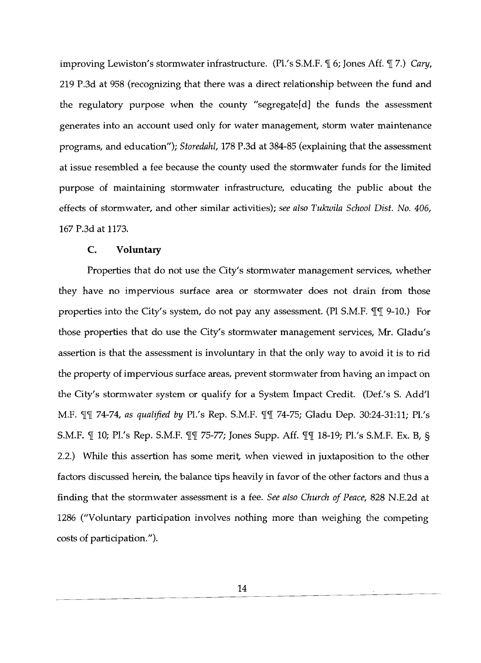improving Lewiston's stormwater infrastructure. (Pl.'s S.M.F.  $\mathcal{N}$  6; Jones Aff.  $\mathcal{T}$  7.) *Cary,* 219 P.3d at 958 (recognizing that there was a direct relationship between the fund and the regulatory purpose when the county "segregate[d] the funds the assessment generates into an account used only for water management, storm water maintenance programs, and education"); *Storedahl,* 178 P.3d at 384-85 (explaining that the assessment at issue resembled a fee because the county used the stormwater funds for the limited purpose of maintaining stormwater infrastructure, educating the public about the effects of stormwater, and other similar activities); *see also Tukwila School Dist. No. 406,*  167 P.3d at 1173.

#### C. **Voluntary**

Properties that do not use the City's stormwater management services, whether they have no impervious surface area or stormwater does not drain from those properties into the City's system, do not pay any assessment. (PI S.M.F.  $\P\P$  $\P$  9-10.) For those properties that do use the City's stormwater management services, Mr. Gladu's assertion is that the assessment is involuntary in that the only way to avoid it is to rid the property of impervious surface areas, prevent stormwater from having an impact on the City's stormwater system or qualify for a System Impact Credit. (Def.'s S. Add'l M.F.  $\P\P$  74-74, as qualified by Pl.'s Rep. S.M.F.  $\P$  $\P$  74-75; Gladu Dep. 30:24-31:11; Pl.'s S.M.F.  $\mathbb{I}$  10; Pl.'s Rep. S.M.F.  $\mathbb{I}$   $\mathbb{I}$  75-77; Jones Supp. Aff.  $\mathbb{I}$  $\mathbb{I}$  18-19; Pl.'s S.M.F. Ex. B, § 2.2.) While this assertion has some merit, when viewed in juxtaposition to the other factors discussed herein, the balance tips heavily in favor of the other factors and thus a finding that the stormwater assessment is a fee. *See also Church of Peace,* 828 N.E.2d at 1286 ("Voluntary participation involves nothing more than weighing the competing costs of participation.").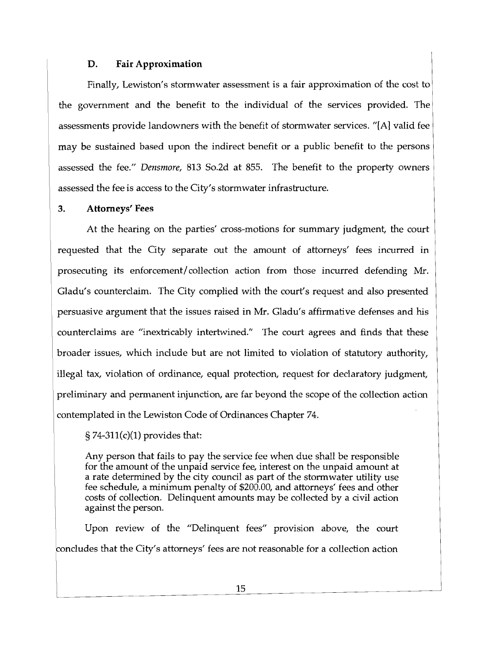# **D. Fair Approximation**

Finally, Lewiston's stormwater assessment is a fair approximation of the cost to the government and the benefit to the individual of the services provided. The assessments provide landowners with the benefit of stormwater services. "[A] valid fee may be sustained based upon the indirect benefit or a public benefit to the persons assessed the fee." *Densmore,* 813 So.2d at 855. The benefit to the property owners assessed the fee is access to the City's stormwater infrastructure.

# **3. Attorneys' Fees**

At the hearing on the parties' cross-motions for summary judgment, the court requested that the City separate out the amount of attorneys' fees incurred in prosecuting its enforcement/collection action from those incurred defending Mr. Gladu's counterclaim. The City complied with the court's request and also presented persuasive argument that the issues raised in Mr. Gladu's affirmative defenses and his counterclaims are "inextricably intertwined." The court agrees and finds that these broader issues, which include but are not limited to violation of statutory authority, illegal tax, violation of ordinance, equal protection, request for declaratory judgment, preliminary and permanent injunction, are far beyond the scope of the collection action contemplated in the Lewiston Code of Ordinances Chapter 74.

# $\S 74-311(c)(1)$  provides that:

Any person that fails to pay the service fee when due shall be responsible for the amount of the unpaid service fee, interest on the unpaid amount at a rate determined by the city council as part of the stormwater utility use fee schedule, a minimum penalty of \$200.00, and attorneys' fees and other costs of collection. Delinquent amounts may be collected by a civil action against the person.

Upon review of the "Delinquent fees" provision above, the court concludes that the City's attorneys' fees are not reasonable for a collection action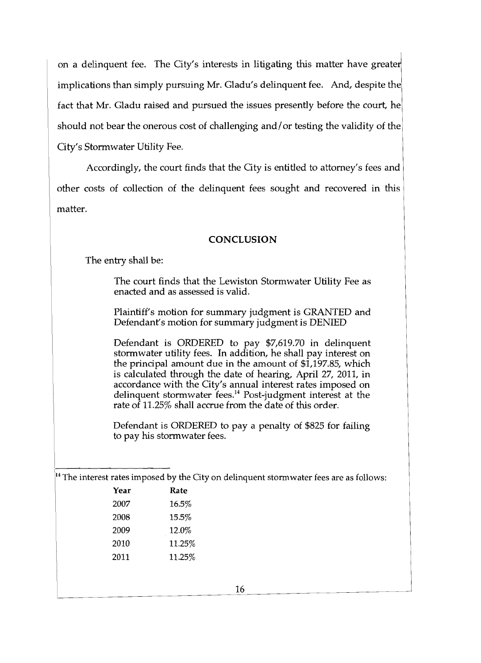on a delinquent fee. The City's interests in litigating this matter have greater implications than simply pursuing Mr. Gladu's delinquent fee. And, despite the fact that Mr. Gladu raised and pursued the issues presently before the court, he should not bear the onerous cost of challenging and/ or testing the validity of the City's Stormwater Utility Fee.

Accordingly, the court finds that the City is entitled to attorney's fees and other costs of collection of the delinquent fees sought and recovered in this matter.

#### **CONCLUSION**

The entry shall be:

The court finds that the Lewiston Stormwater Utility Fee as enacted and as assessed is valid.

Plaintiff's motion for summary judgment is GRANTED and Defendant's motion for summary judgment is DENIED

Defendant is ORDERED to pay \$7,619.70 in delinquent stormwater utility fees. In addition, he shall pay interest on the principal amount due in the amount of \$1,197.85, which is calculated through the date of hearing, April 27, 2011, in accordance with the City's annual interest rates imposed on delinquent stormwater fees.<sup>14</sup> Post-judgment interest at the rate of 11.25% shall accrue from the date of this order.

Defendant is ORDERED to pay a penalty of \$825 for failing to pay his stormwater fees.

 $\frac{14}{14}$  The interest rates imposed by the City on delinquent stormwater fees are as follows:

| Year | Rate   |
|------|--------|
| 2007 | 16.5%  |
| 2008 | 15.5%  |
| 2009 | 12.0%  |
| 2010 | 11.25% |
| 2011 | 11.25% |
|      |        |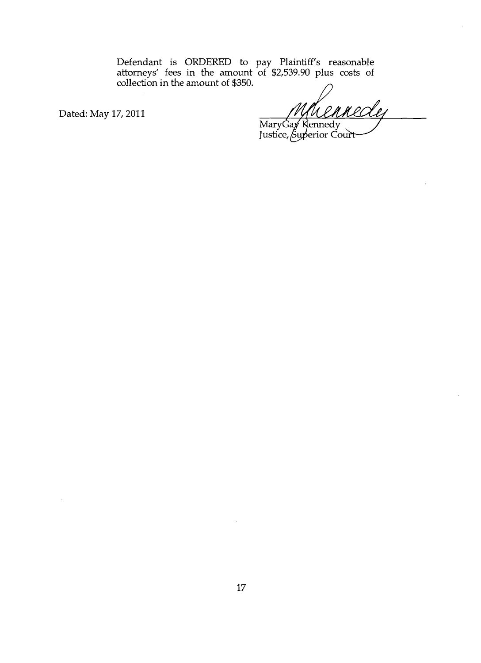Defendant is ORDERED to pay Plaintiff's reasonable attorneys' fees in the amount of \$2,539.90 plus costs of collection in the amount of \$350.

Dated: May 17, 2011

<u>lej</u> Mary Gay Kennedy<br>Justice, Superior Court

17